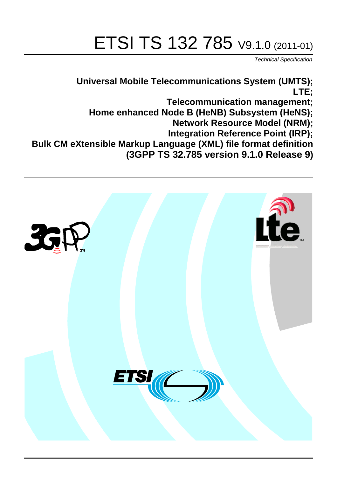# ETSI TS 132 785 V9.1.0 (2011-01)

*Technical Specification*

**Universal Mobile Telecommunications System (UMTS); LTE; Telecommunication management; Home enhanced Node B (HeNB) Subsystem (HeNS); Network Resource Model (NRM); Integration Reference Point (IRP); Bulk CM eXtensible Markup Language (XML) file format definition (3GPP TS 32.785 version 9.1.0 Release 9)**

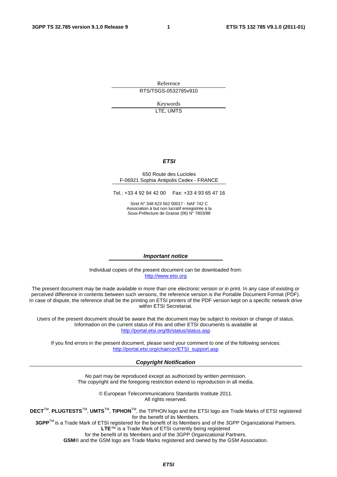Reference RTS/TSGS-0532785v910

> Keywords LTE, UMTS

#### *ETSI*

#### 650 Route des Lucioles F-06921 Sophia Antipolis Cedex - FRANCE

Tel.: +33 4 92 94 42 00 Fax: +33 4 93 65 47 16

Siret N° 348 623 562 00017 - NAF 742 C Association à but non lucratif enregistrée à la Sous-Préfecture de Grasse (06) N° 7803/88

#### *Important notice*

Individual copies of the present document can be downloaded from: [http://www.etsi.org](http://www.etsi.org/)

The present document may be made available in more than one electronic version or in print. In any case of existing or perceived difference in contents between such versions, the reference version is the Portable Document Format (PDF). In case of dispute, the reference shall be the printing on ETSI printers of the PDF version kept on a specific network drive within ETSI Secretariat.

Users of the present document should be aware that the document may be subject to revision or change of status. Information on the current status of this and other ETSI documents is available at <http://portal.etsi.org/tb/status/status.asp>

If you find errors in the present document, please send your comment to one of the following services: [http://portal.etsi.org/chaircor/ETSI\\_support.asp](http://portal.etsi.org/chaircor/ETSI_support.asp)

#### *Copyright Notification*

No part may be reproduced except as authorized by written permission. The copyright and the foregoing restriction extend to reproduction in all media.

> © European Telecommunications Standards Institute 2011. All rights reserved.

**DECT**TM, **PLUGTESTS**TM, **UMTS**TM, **TIPHON**TM, the TIPHON logo and the ETSI logo are Trade Marks of ETSI registered for the benefit of its Members.

**3GPP**TM is a Trade Mark of ETSI registered for the benefit of its Members and of the 3GPP Organizational Partners. **LTE**™ is a Trade Mark of ETSI currently being registered

for the benefit of its Members and of the 3GPP Organizational Partners.

**GSM**® and the GSM logo are Trade Marks registered and owned by the GSM Association.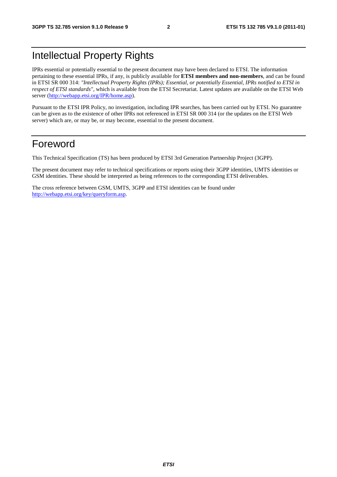### Intellectual Property Rights

IPRs essential or potentially essential to the present document may have been declared to ETSI. The information pertaining to these essential IPRs, if any, is publicly available for **ETSI members and non-members**, and can be found in ETSI SR 000 314: *"Intellectual Property Rights (IPRs); Essential, or potentially Essential, IPRs notified to ETSI in respect of ETSI standards"*, which is available from the ETSI Secretariat. Latest updates are available on the ETSI Web server [\(http://webapp.etsi.org/IPR/home.asp\)](http://webapp.etsi.org/IPR/home.asp).

Pursuant to the ETSI IPR Policy, no investigation, including IPR searches, has been carried out by ETSI. No guarantee can be given as to the existence of other IPRs not referenced in ETSI SR 000 314 (or the updates on the ETSI Web server) which are, or may be, or may become, essential to the present document.

#### Foreword

This Technical Specification (TS) has been produced by ETSI 3rd Generation Partnership Project (3GPP).

The present document may refer to technical specifications or reports using their 3GPP identities, UMTS identities or GSM identities. These should be interpreted as being references to the corresponding ETSI deliverables.

The cross reference between GSM, UMTS, 3GPP and ETSI identities can be found under [http://webapp.etsi.org/key/queryform.asp.](http://webapp.etsi.org/key/queryform.asp)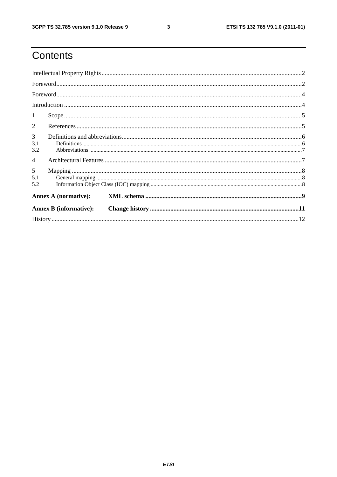$\mathbf{3}$ 

## Contents

|                 |                               | $\textbf{For} \texttt{word}.\textcolor{red}{\textbf{Con} \texttt{f} \texttt{1}, \texttt{1}, \texttt{1}, \texttt{1}, \texttt{1}} \texttt{1}, \texttt{1}, \texttt{2}, \texttt{3}, \texttt{4}, \texttt{5}, \texttt{6}, \texttt{6}, \texttt{7}, \texttt{8}, \texttt{9}, \texttt{1}, \texttt{1}, \texttt{1}, \texttt{1}, \texttt{1}, \texttt{1}, \texttt{1}, \texttt{1}, \texttt{1}, \texttt{1}, \texttt{1}, \texttt{1}, \texttt{1}, \texttt{1}, \texttt{1}, \texttt{$ |  |
|-----------------|-------------------------------|-------------------------------------------------------------------------------------------------------------------------------------------------------------------------------------------------------------------------------------------------------------------------------------------------------------------------------------------------------------------------------------------------------------------------------------------------------------------|--|
|                 |                               |                                                                                                                                                                                                                                                                                                                                                                                                                                                                   |  |
|                 |                               |                                                                                                                                                                                                                                                                                                                                                                                                                                                                   |  |
| $\mathbf{1}$    |                               |                                                                                                                                                                                                                                                                                                                                                                                                                                                                   |  |
| 2               |                               |                                                                                                                                                                                                                                                                                                                                                                                                                                                                   |  |
| 3<br>3.1<br>3.2 |                               |                                                                                                                                                                                                                                                                                                                                                                                                                                                                   |  |
| $\overline{4}$  |                               |                                                                                                                                                                                                                                                                                                                                                                                                                                                                   |  |
| 5<br>5.1<br>5.2 |                               |                                                                                                                                                                                                                                                                                                                                                                                                                                                                   |  |
|                 | <b>Annex A (normative):</b>   |                                                                                                                                                                                                                                                                                                                                                                                                                                                                   |  |
|                 | <b>Annex B</b> (informative): |                                                                                                                                                                                                                                                                                                                                                                                                                                                                   |  |
|                 |                               |                                                                                                                                                                                                                                                                                                                                                                                                                                                                   |  |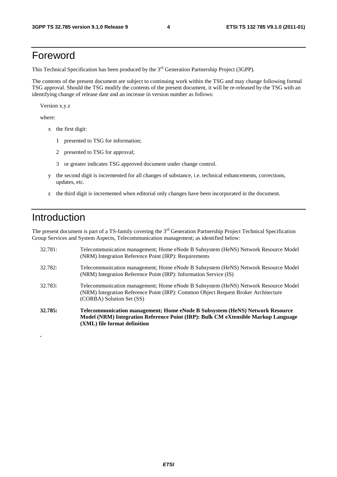#### Foreword

This Technical Specification has been produced by the 3<sup>rd</sup> Generation Partnership Project (3GPP).

The contents of the present document are subject to continuing work within the TSG and may change following formal TSG approval. Should the TSG modify the contents of the present document, it will be re-released by the TSG with an identifying change of release date and an increase in version number as follows:

Version x.y.z

where:

- x the first digit:
	- 1 presented to TSG for information;
	- 2 presented to TSG for approval;
	- 3 or greater indicates TSG approved document under change control.
- y the second digit is incremented for all changes of substance, i.e. technical enhancements, corrections, updates, etc.
- z the third digit is incremented when editorial only changes have been incorporated in the document.

#### Introduction

**.** 

The present document is part of a TS-family covering the 3<sup>rd</sup> Generation Partnership Project Technical Specification Group Services and System Aspects, Telecommunication management; as identified below:

| 32.785: | Telecommunication management; Home eNode B Subsystem (HeNS) Network Resource<br>Model (NRM) Integration Reference Point (IRP): Bulk CM eXtensible Markup Language<br>(XML) file format definition     |
|---------|-------------------------------------------------------------------------------------------------------------------------------------------------------------------------------------------------------|
| 32.783: | Telecommunication management; Home eNode B Subsystem (HeNS) Network Resource Model<br>(NRM) Integration Reference Point (IRP): Common Object Request Broker Architecture<br>(CORBA) Solution Set (SS) |
| 32.782: | Telecommunication management; Home eNode B Subsystem (HeNS) Network Resource Model<br>(NRM) Integration Reference Point (IRP): Information Service (IS)                                               |
| 32.781: | Telecommunication management; Home eNode B Subsystem (HeNS) Network Resource Model<br>(NRM) Integration Reference Point (IRP): Requirements                                                           |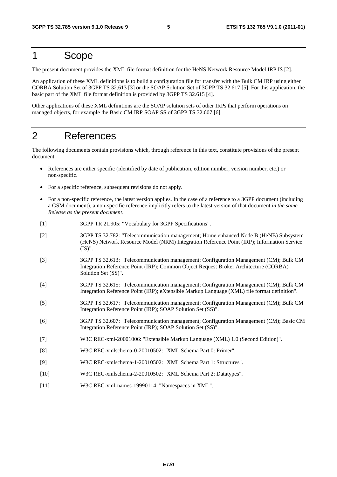#### 1 Scope

The present document provides the XML file format definition for the HeNS Network Resource Model IRP IS [2].

An application of these XML definitions is to build a configuration file for transfer with the Bulk CM IRP using either CORBA Solution Set of 3GPP TS 32.613 [3] or the SOAP Solution Set of 3GPP TS 32.617 [5]. For this application, the basic part of the XML file format definition is provided by 3GPP TS 32.615 [4].

Other applications of these XML definitions are the SOAP solution sets of other IRPs that perform operations on managed objects, for example the Basic CM IRP SOAP SS of 3GPP TS 32.607 [6].

#### 2 References

The following documents contain provisions which, through reference in this text, constitute provisions of the present document.

- References are either specific (identified by date of publication, edition number, version number, etc.) or non-specific.
- For a specific reference, subsequent revisions do not apply.
- For a non-specific reference, the latest version applies. In the case of a reference to a 3GPP document (including a GSM document), a non-specific reference implicitly refers to the latest version of that document *in the same Release as the present document*.
- [1] 3GPP TR 21.905: "Vocabulary for 3GPP Specifications".
- [2] 3GPP TS 32.782: "Telecommunication management; Home enhanced Node B (HeNB) Subsystem (HeNS) Network Resource Model (NRM) Integration Reference Point (IRP); Information Service (IS)".
- [3] 3GPP TS 32.613: "Telecommunication management; Configuration Management (CM); Bulk CM Integration Reference Point (IRP); Common Object Request Broker Architecture (CORBA) Solution Set (SS)".
- [4] 3GPP TS 32.615: "Telecommunication management; Configuration Management (CM); Bulk CM Integration Reference Point (IRP); eXtensible Markup Language (XML) file format definition".
- [5] 3GPP TS 32.617: "Telecommunication management; Configuration Management (CM); Bulk CM Integration Reference Point (IRP); SOAP Solution Set (SS)".
- [6] 3GPP TS 32.607: "Telecommunication management; Configuration Management (CM); Basic CM Integration Reference Point (IRP); SOAP Solution Set (SS)".
- [7] W3C REC-xml-20001006: "Extensible Markup Language (XML) 1.0 (Second Edition)".
- [8] W3C REC-xmlschema-0-20010502: "XML Schema Part 0: Primer".
- [9] W3C REC-xmlschema-1-20010502: "XML Schema Part 1: Structures".
- [10] W3C REC-xmlschema-2-20010502: "XML Schema Part 2: Datatypes".
- [11] W3C REC-xml-names-19990114: "Namespaces in XML".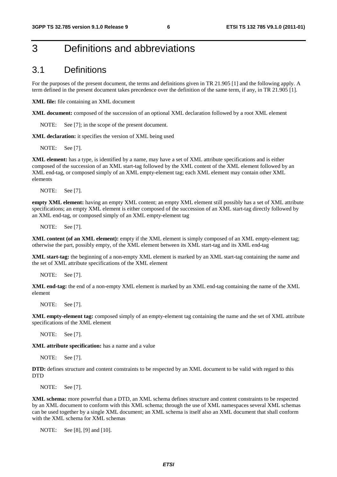#### 3 Definitions and abbreviations

#### 3.1 Definitions

For the purposes of the present document, the terms and definitions given in TR 21.905 [1] and the following apply. A term defined in the present document takes precedence over the definition of the same term, if any, in TR 21.905 [1].

**XML file:** file containing an XML document

**XML document:** composed of the succession of an optional XML declaration followed by a root XML element

NOTE: See [7]; in the scope of the present document.

**XML declaration:** it specifies the version of XML being used

NOTE: See [7].

**XML element:** has a type, is identified by a name, may have a set of XML attribute specifications and is either composed of the succession of an XML start-tag followed by the XML content of the XML element followed by an XML end-tag, or composed simply of an XML empty-element tag; each XML element may contain other XML elements

NOTE: See [7].

**empty XML element:** having an empty XML content; an empty XML element still possibly has a set of XML attribute specifications; an empty XML element is either composed of the succession of an XML start-tag directly followed by an XML end-tag, or composed simply of an XML empty-element tag

NOTE: See [7].

**XML content (of an XML element):** empty if the XML element is simply composed of an XML empty-element tag; otherwise the part, possibly empty, of the XML element between its XML start-tag and its XML end-tag

**XML start-tag:** the beginning of a non-empty XML element is marked by an XML start-tag containing the name and the set of XML attribute specifications of the XML element

NOTE: See [7].

**XML end-tag:** the end of a non-empty XML element is marked by an XML end-tag containing the name of the XML element

NOTE: See [7].

**XML empty-element tag:** composed simply of an empty-element tag containing the name and the set of XML attribute specifications of the XML element

NOTE: See [7].

**XML attribute specification:** has a name and a value

NOTE: See [7].

**DTD:** defines structure and content constraints to be respected by an XML document to be valid with regard to this DTD

NOTE: See [7].

**XML schema:** more powerful than a DTD, an XML schema defines structure and content constraints to be respected by an XML document to conform with this XML schema; through the use of XML namespaces several XML schemas can be used together by a single XML document; an XML schema is itself also an XML document that shall conform with the XML schema for XML schemas

NOTE: See [8], [9] and [10].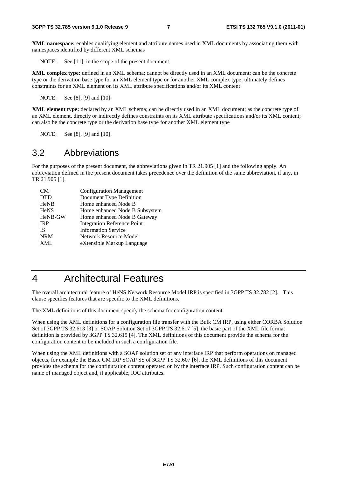**XML namespace:** enables qualifying element and attribute names used in XML documents by associating them with namespaces identified by different XML schemas

NOTE: See [11], in the scope of the present document.

**XML complex type:** defined in an XML schema; cannot be directly used in an XML document; can be the concrete type or the derivation base type for an XML element type or for another XML complex type; ultimately defines constraints for an XML element on its XML attribute specifications and/or its XML content

NOTE: See [8], [9] and [10].

**XML element type:** declared by an XML schema; can be directly used in an XML document; as the concrete type of an XML element, directly or indirectly defines constraints on its XML attribute specifications and/or its XML content; can also be the concrete type or the derivation base type for another XML element type

NOTE: See [8], [9] and [10].

#### 3.2 Abbreviations

For the purposes of the present document, the abbreviations given in TR 21.905 [1] and the following apply. An abbreviation defined in the present document takes precedence over the definition of the same abbreviation, if any, in TR 21.905 [1].

| CM <sub></sub> | <b>Configuration Management</b>    |
|----------------|------------------------------------|
| <b>DTD</b>     | Document Type Definition           |
| <b>HeNB</b>    | Home enhanced Node B               |
| <b>HeNS</b>    | Home enhanced Node B Subsystem     |
| HeNB-GW        | Home enhanced Node B Gateway       |
| <b>IRP</b>     | <b>Integration Reference Point</b> |
| <b>IS</b>      | <b>Information Service</b>         |
| <b>NRM</b>     | Network Resource Model             |
| XML            | eXtensible Markup Language         |
|                |                                    |

#### 4 Architectural Features

The overall architectural feature of HeNS Network Resource Model IRP is specified in 3GPP TS 32.782 [2]. This clause specifies features that are specific to the XML definitions.

The XML definitions of this document specify the schema for configuration content.

When using the XML definitions for a configuration file transfer with the Bulk CM IRP, using either CORBA Solution Set of 3GPP TS 32.613 [3] or SOAP Solution Set of 3GPP TS 32.617 [5], the basic part of the XML file format definition is provided by 3GPP TS 32.615 [4]. The XML definitions of this document provide the schema for the configuration content to be included in such a configuration file.

When using the XML definitions with a SOAP solution set of any interface IRP that perform operations on managed objects, for example the Basic CM IRP SOAP SS of 3GPP TS 32.607 [6], the XML definitions of this document provides the schema for the configuration content operated on by the interface IRP. Such configuration content can be name of managed object and, if applicable, IOC attributes.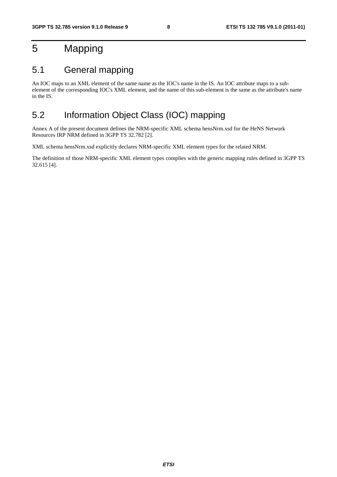### 5 Mapping

#### 5.1 General mapping

An IOC maps to an XML element of the same name as the IOC's name in the IS. An IOC attribute maps to a subelement of the corresponding IOC's XML element, and the name of this sub-element is the same as the attribute's name in the IS.

#### 5.2 Information Object Class (IOC) mapping

Annex A of the present document defines the NRM-specific XML schema hensNrm.xsd for the HeNS Network Resources IRP NRM defined in 3GPP TS 32.782 [2].

XML schema hensNrm.xsd explicitly declares NRM-specific XML element types for the related NRM.

The definition of those NRM-specific XML element types complies with the generic mapping rules defined in 3GPP TS 32.615 [4].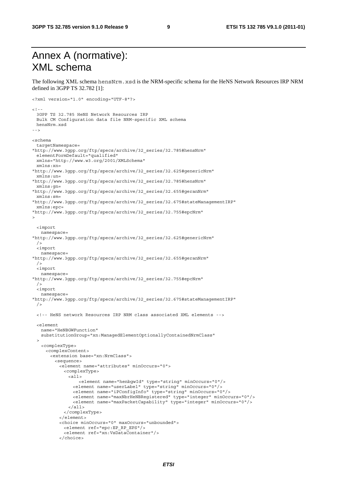### Annex A (normative): XML schema

The following XML schema hensNrm.xsd is the NRM-specific schema for the HeNS Network Resources IRP NRM defined in 3GPP TS 32.782 [1]:

```
<?xml version="1.0" encoding="UTF-8"?> 
<! - -
  3GPP TS 32.785 HeNS Network Resources IRP 
  Bulk CM Configuration data file NRM-specific XML schema 
  hensNrm.xsd 
--> 
<schema 
  targetNamespace= 
"http://www.3gpp.org/ftp/specs/archive/32_series/32.785#hensNrm" 
  elementFormDefault="qualified" 
  xmlns="http://www.w3.org/2001/XMLSchema" 
  xmlns:xn= 
"http://www.3gpp.org/ftp/specs/archive/32_series/32.625#genericNrm" 
  xmlns:un= 
"http://www.3gpp.org/ftp/specs/archive/32_series/32.785#hensNrm" 
  xmlns:gn= 
"http://www.3gpp.org/ftp/specs/archive/32_series/32.655#geranNrm" 
  xmlns:sm= 
"http://www.3gpp.org/ftp/specs/archive/32_series/32.675#stateManagementIRP" 
  xmlns:epc= 
"http://www.3gpp.org/ftp/specs/archive/32_series/32.755#epcNrm" 
> 
  <import 
   namespace= 
"http://www.3gpp.org/ftp/specs/archive/32_series/32.625#genericNrm" 
 / <import 
   namespace= 
"http://www.3gpp.org/ftp/specs/archive/32_series/32.655#geranNrm" 
 / <import 
    namespace= 
"http://www.3gpp.org/ftp/specs/archive/32_series/32.755#epcNrm" 
 / <import 
   namespace= 
"http://www.3gpp.org/ftp/specs/archive/32_series/32.675#stateManagementIRP" 
  /> 
  <!-- HeNS network Resources IRP NRM class associated XML elements --> 
  <element 
    name="HeNBGWFunction" 
    substitutionGroup="xn:ManagedElementOptionallyContainedNrmClass" 
 \ddot{\phantom{1}} <complexType> 
      <complexContent> 
        <extension base="xn:NrmClass"> 
         <sequence> 
           <element name="attributes" minOccurs="0"> 
             <complexType> 
               <all> 
                   <element name="henbgwId" type="string" minOccurs="0"/> 
                 <element name="userLabel" type="string" minOccurs="0"/> 
                 <element name="iPConfigInfo" type="string" minOccurs="0"/> 
                 <element name="maxNbrHeNBRegistered" type="integer" minOccurs="0"/> 
                 <element name="maxPacketCapability" type="integer" minOccurs="0"/> 
               </all> 
             </complexType> 
           </element> 
           <choice minOccurs="0" maxOccurs="unbounded"> 
             <element ref="epc:EP_RP_EPS"/> 
             <element ref="xn:VsDataContainer"/> 
           </choice>
```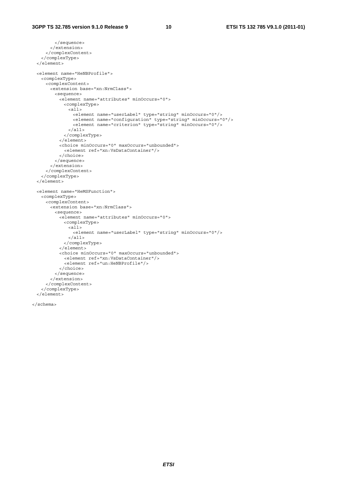```
 </sequence> 
      </extension> 
    </complexContent> 
  </complexType> 
 </element> 
 <element name="HeNBProfile"> 
  <complexType> 
    <complexContent> 
      <extension base="xn:NrmClass"> 
        <sequence> 
          <element name="attributes" minOccurs="0"> 
            <complexType> 
              <all> 
               <element name="userLabel" type="string" minOccurs="0"/> 
                <element name="configuration" type="string" minOccurs="0"/> 
               <element name="criterion" type="string" minOccurs="0"/> 
             \langleall> </complexType> 
          </element> 
          <choice minOccurs="0" maxOccurs="unbounded"> 
            <element ref="xn:VsDataContainer"/> 
          </choice> 
        </sequence> 
      </extension> 
    </complexContent> 
  </complexType> 
 </element> 
 <element name="HeMSFunction"> 
  <complexType> 
    <complexContent> 
      <extension base="xn:NrmClass"> 
        <sequence> 
          <element name="attributes" minOccurs="0"> 
            <complexType> 
             <sub>all></sub></sub>
                <element name="userLabel" type="string" minOccurs="0"/> 
              </all> 
            </complexType> 
          </element> 
          <choice minOccurs="0" maxOccurs="unbounded"> 
            <element ref="xn:VsDataContainer"/> 
            <element ref="un:HeNBProfile"/> 
          </choice> 
        </sequence> 
      </extension> 
    </complexContent> 
  </complexType> 
 </element>
```

```
</schema>
```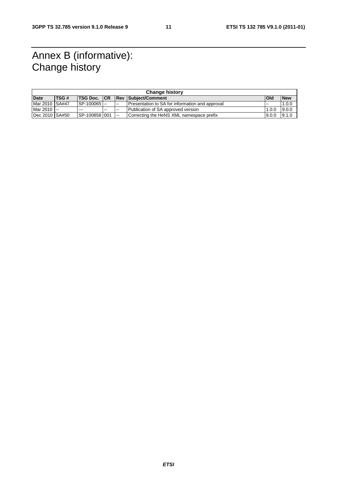### Annex B (informative): Change history

| <b>Change history</b> |              |                   |       |        |                                                 |            |            |
|-----------------------|--------------|-------------------|-------|--------|-------------------------------------------------|------------|------------|
| <b>Date</b>           | <b>ITSG#</b> |                   |       |        | <b>ITSG Doc. ICR IRev   Subject/Comment</b>     | <b>Old</b> | <b>New</b> |
| Mar 2010 SA#47        |              | SP-100065         |       | $\sim$ | Presentation to SA for information and approval | .          | 1.0.0      |
| Mar 2010 --           |              | ---               | $- -$ | $- -$  | Publication of SA approved version              | 1.0.0      | 9.0.0      |
| Dec 2010 SA#50        |              | ISP-100858 001 -- |       |        | Correcting the HeNS XML namespace prefix        | 9.0.0      | 9.1.0      |